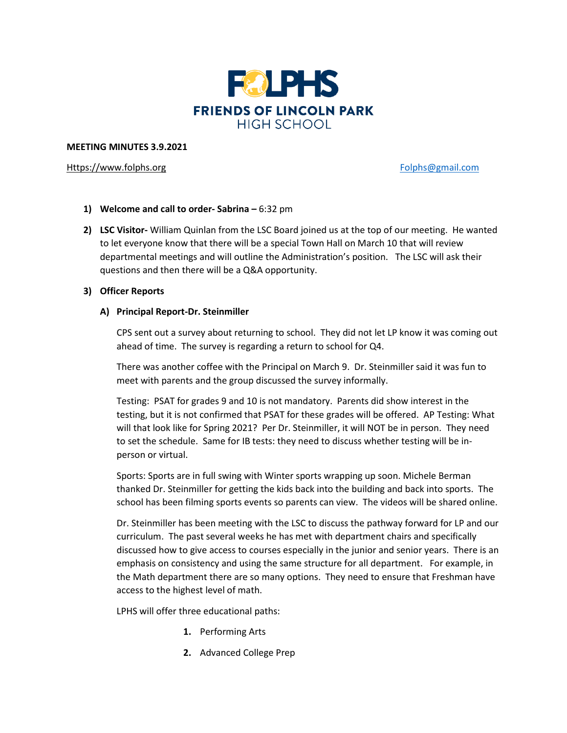

#### **MEETING MINUTES 3.9.2021**

## [Https://www.folphs.org](https://www.folphs.org/) example and the example of the [Folphs@gmail.com](mailto:Folphs@gmail.com)

- **1) Welcome and call to order- Sabrina –** 6:32 pm
- **2) LSC Visitor-** William Quinlan from the LSC Board joined us at the top of our meeting. He wanted to let everyone know that there will be a special Town Hall on March 10 that will review departmental meetings and will outline the Administration's position. The LSC will ask their questions and then there will be a Q&A opportunity.

## **3) Officer Reports**

## **A) Principal Report-Dr. Steinmiller**

CPS sent out a survey about returning to school. They did not let LP know it was coming out ahead of time. The survey is regarding a return to school for Q4.

There was another coffee with the Principal on March 9. Dr. Steinmiller said it was fun to meet with parents and the group discussed the survey informally.

Testing: PSAT for grades 9 and 10 is not mandatory. Parents did show interest in the testing, but it is not confirmed that PSAT for these grades will be offered. AP Testing: What will that look like for Spring 2021? Per Dr. Steinmiller, it will NOT be in person. They need to set the schedule. Same for IB tests: they need to discuss whether testing will be inperson or virtual.

Sports: Sports are in full swing with Winter sports wrapping up soon. Michele Berman thanked Dr. Steinmiller for getting the kids back into the building and back into sports. The school has been filming sports events so parents can view. The videos will be shared online.

Dr. Steinmiller has been meeting with the LSC to discuss the pathway forward for LP and our curriculum. The past several weeks he has met with department chairs and specifically discussed how to give access to courses especially in the junior and senior years. There is an emphasis on consistency and using the same structure for all department. For example, in the Math department there are so many options. They need to ensure that Freshman have access to the highest level of math.

LPHS will offer three educational paths:

- **1.** Performing Arts
- **2.** Advanced College Prep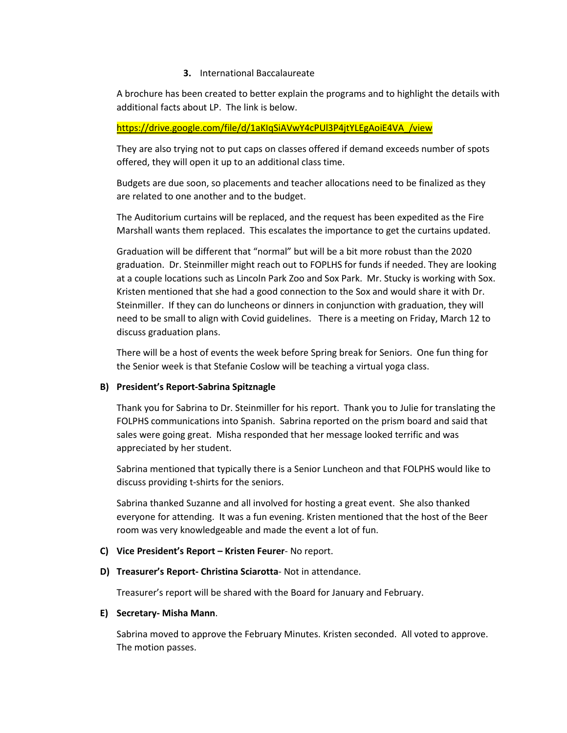## **3.** International Baccalaureate

A brochure has been created to better explain the programs and to highlight the details with additional facts about LP. The link is below.

## [https://drive.google.com/file/d/1aKIqSiAVwY4cPUl3P4jtYLEgAoiE4VA\\_/view](https://drive.google.com/file/d/1aKIqSiAVwY4cPUl3P4jtYLEgAoiE4VA_/view)

They are also trying not to put caps on classes offered if demand exceeds number of spots offered, they will open it up to an additional class time.

Budgets are due soon, so placements and teacher allocations need to be finalized as they are related to one another and to the budget.

The Auditorium curtains will be replaced, and the request has been expedited as the Fire Marshall wants them replaced. This escalates the importance to get the curtains updated.

Graduation will be different that "normal" but will be a bit more robust than the 2020 graduation. Dr. Steinmiller might reach out to FOPLHS for funds if needed. They are looking at a couple locations such as Lincoln Park Zoo and Sox Park. Mr. Stucky is working with Sox. Kristen mentioned that she had a good connection to the Sox and would share it with Dr. Steinmiller. If they can do luncheons or dinners in conjunction with graduation, they will need to be small to align with Covid guidelines. There is a meeting on Friday, March 12 to discuss graduation plans.

There will be a host of events the week before Spring break for Seniors. One fun thing for the Senior week is that Stefanie Coslow will be teaching a virtual yoga class.

# **B) President's Report-Sabrina Spitznagle**

Thank you for Sabrina to Dr. Steinmiller for his report. Thank you to Julie for translating the FOLPHS communications into Spanish. Sabrina reported on the prism board and said that sales were going great. Misha responded that her message looked terrific and was appreciated by her student.

Sabrina mentioned that typically there is a Senior Luncheon and that FOLPHS would like to discuss providing t-shirts for the seniors.

Sabrina thanked Suzanne and all involved for hosting a great event. She also thanked everyone for attending. It was a fun evening. Kristen mentioned that the host of the Beer room was very knowledgeable and made the event a lot of fun.

#### **C) Vice President's Report – Kristen Feurer**- No report.

**D) Treasurer's Report- Christina Sciarotta**- Not in attendance.

Treasurer's report will be shared with the Board for January and February.

#### **E) Secretary- Misha Mann**.

Sabrina moved to approve the February Minutes. Kristen seconded. All voted to approve. The motion passes.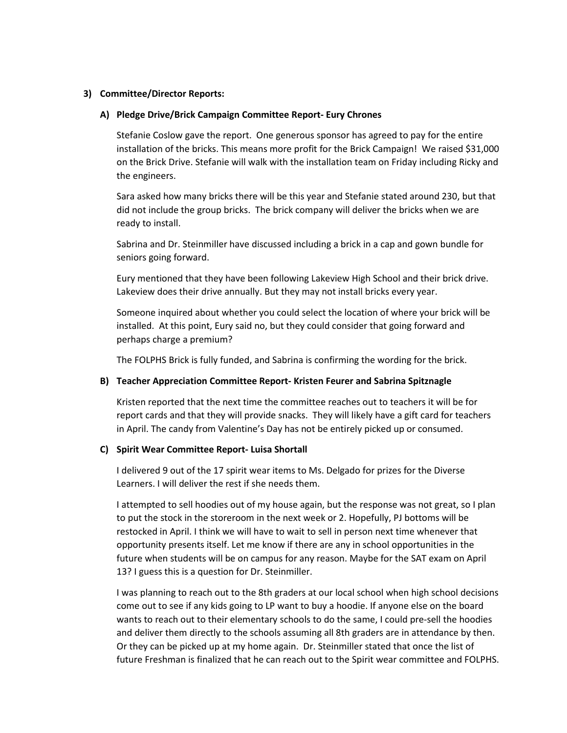## **3) Committee/Director Reports:**

## **A) Pledge Drive/Brick Campaign Committee Report- Eury Chrones**

Stefanie Coslow gave the report. One generous sponsor has agreed to pay for the entire installation of the bricks. This means more profit for the Brick Campaign! We raised \$31,000 on the Brick Drive. Stefanie will walk with the installation team on Friday including Ricky and the engineers.

Sara asked how many bricks there will be this year and Stefanie stated around 230, but that did not include the group bricks. The brick company will deliver the bricks when we are ready to install.

Sabrina and Dr. Steinmiller have discussed including a brick in a cap and gown bundle for seniors going forward.

Eury mentioned that they have been following Lakeview High School and their brick drive. Lakeview does their drive annually. But they may not install bricks every year.

Someone inquired about whether you could select the location of where your brick will be installed. At this point, Eury said no, but they could consider that going forward and perhaps charge a premium?

The FOLPHS Brick is fully funded, and Sabrina is confirming the wording for the brick.

#### **B) Teacher Appreciation Committee Report- Kristen Feurer and Sabrina Spitznagle**

Kristen reported that the next time the committee reaches out to teachers it will be for report cards and that they will provide snacks. They will likely have a gift card for teachers in April. The candy from Valentine's Day has not be entirely picked up or consumed.

#### **C) Spirit Wear Committee Report- Luisa Shortall**

I delivered 9 out of the 17 spirit wear items to Ms. Delgado for prizes for the Diverse Learners. I will deliver the rest if she needs them.

I attempted to sell hoodies out of my house again, but the response was not great, so I plan to put the stock in the storeroom in the next week or 2. Hopefully, PJ bottoms will be restocked in April. I think we will have to wait to sell in person next time whenever that opportunity presents itself. Let me know if there are any in school opportunities in the future when students will be on campus for any reason. Maybe for the SAT exam on April 13? I guess this is a question for Dr. Steinmiller.

I was planning to reach out to the 8th graders at our local school when high school decisions come out to see if any kids going to LP want to buy a hoodie. If anyone else on the board wants to reach out to their elementary schools to do the same, I could pre-sell the hoodies and deliver them directly to the schools assuming all 8th graders are in attendance by then. Or they can be picked up at my home again. Dr. Steinmiller stated that once the list of future Freshman is finalized that he can reach out to the Spirit wear committee and FOLPHS.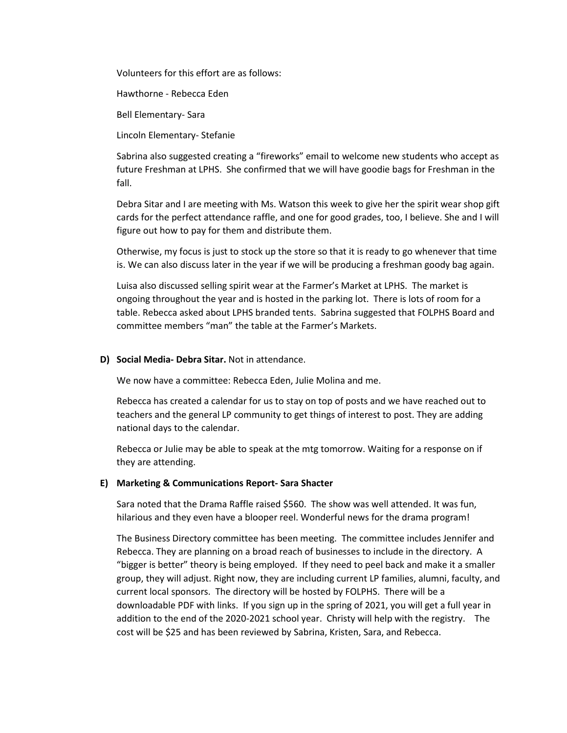Volunteers for this effort are as follows:

Hawthorne - Rebecca Eden

Bell Elementary- Sara

Lincoln Elementary- Stefanie

Sabrina also suggested creating a "fireworks" email to welcome new students who accept as future Freshman at LPHS. She confirmed that we will have goodie bags for Freshman in the fall.

Debra Sitar and I are meeting with Ms. Watson this week to give her the spirit wear shop gift cards for the perfect attendance raffle, and one for good grades, too, I believe. She and I will figure out how to pay for them and distribute them.

Otherwise, my focus is just to stock up the store so that it is ready to go whenever that time is. We can also discuss later in the year if we will be producing a freshman goody bag again.

Luisa also discussed selling spirit wear at the Farmer's Market at LPHS. The market is ongoing throughout the year and is hosted in the parking lot. There is lots of room for a table. Rebecca asked about LPHS branded tents. Sabrina suggested that FOLPHS Board and committee members "man" the table at the Farmer's Markets.

#### **D) Social Media- Debra Sitar.** Not in attendance.

We now have a committee: Rebecca Eden, Julie Molina and me.

Rebecca has created a calendar for us to stay on top of posts and we have reached out to teachers and the general LP community to get things of interest to post. They are adding national days to the calendar.

Rebecca or Julie may be able to speak at the mtg tomorrow. Waiting for a response on if they are attending.

#### **E) Marketing & Communications Report- Sara Shacter**

Sara noted that the Drama Raffle raised \$560. The show was well attended. It was fun, hilarious and they even have a blooper reel. Wonderful news for the drama program!

The Business Directory committee has been meeting. The committee includes Jennifer and Rebecca. They are planning on a broad reach of businesses to include in the directory. A "bigger is better" theory is being employed. If they need to peel back and make it a smaller group, they will adjust. Right now, they are including current LP families, alumni, faculty, and current local sponsors. The directory will be hosted by FOLPHS. There will be a downloadable PDF with links. If you sign up in the spring of 2021, you will get a full year in addition to the end of the 2020-2021 school year. Christy will help with the registry. The cost will be \$25 and has been reviewed by Sabrina, Kristen, Sara, and Rebecca.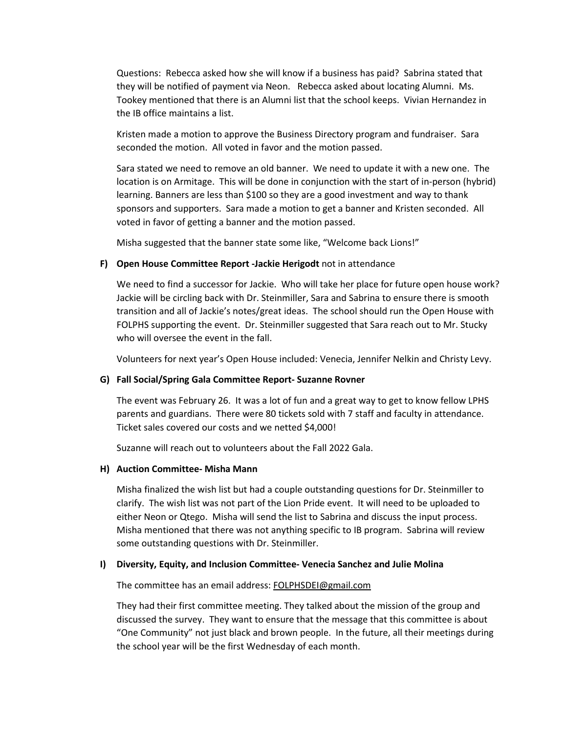Questions: Rebecca asked how she will know if a business has paid? Sabrina stated that they will be notified of payment via Neon. Rebecca asked about locating Alumni. Ms. Tookey mentioned that there is an Alumni list that the school keeps. Vivian Hernandez in the IB office maintains a list.

Kristen made a motion to approve the Business Directory program and fundraiser. Sara seconded the motion. All voted in favor and the motion passed.

Sara stated we need to remove an old banner. We need to update it with a new one. The location is on Armitage. This will be done in conjunction with the start of in-person (hybrid) learning. Banners are less than \$100 so they are a good investment and way to thank sponsors and supporters. Sara made a motion to get a banner and Kristen seconded. All voted in favor of getting a banner and the motion passed.

Misha suggested that the banner state some like, "Welcome back Lions!"

#### **F) Open House Committee Report -Jackie Herigodt** not in attendance

We need to find a successor for Jackie. Who will take her place for future open house work? Jackie will be circling back with Dr. Steinmiller, Sara and Sabrina to ensure there is smooth transition and all of Jackie's notes/great ideas. The school should run the Open House with FOLPHS supporting the event. Dr. Steinmiller suggested that Sara reach out to Mr. Stucky who will oversee the event in the fall.

Volunteers for next year's Open House included: Venecia, Jennifer Nelkin and Christy Levy.

#### **G) Fall Social/Spring Gala Committee Report- Suzanne Rovner**

The event was February 26. It was a lot of fun and a great way to get to know fellow LPHS parents and guardians. There were 80 tickets sold with 7 staff and faculty in attendance. Ticket sales covered our costs and we netted \$4,000!

Suzanne will reach out to volunteers about the Fall 2022 Gala.

#### **H) Auction Committee- Misha Mann**

Misha finalized the wish list but had a couple outstanding questions for Dr. Steinmiller to clarify. The wish list was not part of the Lion Pride event. It will need to be uploaded to either Neon or Qtego. Misha will send the list to Sabrina and discuss the input process. Misha mentioned that there was not anything specific to IB program. Sabrina will review some outstanding questions with Dr. Steinmiller.

#### **I) Diversity, Equity, and Inclusion Committee- Venecia Sanchez and Julie Molina**

The committee has an email address: [FOLPHSDEI@gmail.com](mailto:FOLPHSDEI@gmail.com)

They had their first committee meeting. They talked about the mission of the group and discussed the survey. They want to ensure that the message that this committee is about "One Community" not just black and brown people. In the future, all their meetings during the school year will be the first Wednesday of each month.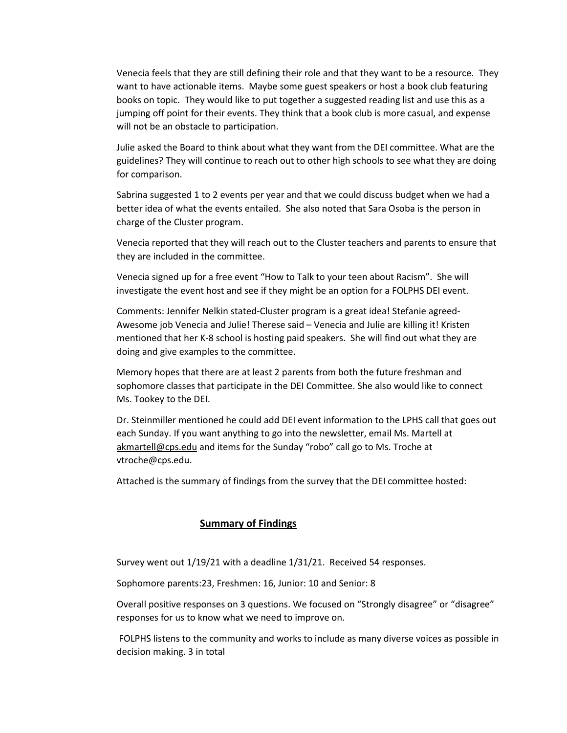Venecia feels that they are still defining their role and that they want to be a resource. They want to have actionable items. Maybe some guest speakers or host a book club featuring books on topic. They would like to put together a suggested reading list and use this as a jumping off point for their events. They think that a book club is more casual, and expense will not be an obstacle to participation.

Julie asked the Board to think about what they want from the DEI committee. What are the guidelines? They will continue to reach out to other high schools to see what they are doing for comparison.

Sabrina suggested 1 to 2 events per year and that we could discuss budget when we had a better idea of what the events entailed. She also noted that Sara Osoba is the person in charge of the Cluster program.

Venecia reported that they will reach out to the Cluster teachers and parents to ensure that they are included in the committee.

Venecia signed up for a free event "How to Talk to your teen about Racism". She will investigate the event host and see if they might be an option for a FOLPHS DEI event.

Comments: Jennifer Nelkin stated-Cluster program is a great idea! Stefanie agreed-Awesome job Venecia and Julie! Therese said – Venecia and Julie are killing it! Kristen mentioned that her K-8 school is hosting paid speakers. She will find out what they are doing and give examples to the committee.

Memory hopes that there are at least 2 parents from both the future freshman and sophomore classes that participate in the DEI Committee. She also would like to connect Ms. Tookey to the DEI.

Dr. Steinmiller mentioned he could add DEI event information to the LPHS call that goes out each Sunday. If you want anything to go into the newsletter, email Ms. Martell at [akmartell@cps.edu](mailto:akmartell@cps.edu) and items for the Sunday "robo" call go to Ms. Troche at vtroche@cps.edu.

Attached is the summary of findings from the survey that the DEI committee hosted:

# **Summary of Findings**

Survey went out 1/19/21 with a deadline 1/31/21. Received 54 responses.

Sophomore parents:23, Freshmen: 16, Junior: 10 and Senior: 8

Overall positive responses on 3 questions. We focused on "Strongly disagree" or "disagree" responses for us to know what we need to improve on.

FOLPHS listens to the community and works to include as many diverse voices as possible in decision making. 3 in total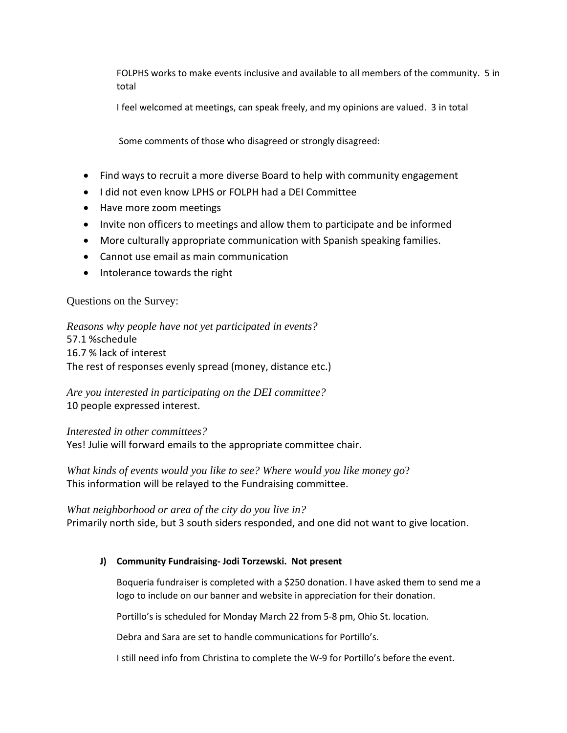FOLPHS works to make events inclusive and available to all members of the community. 5 in total

I feel welcomed at meetings, can speak freely, and my opinions are valued. 3 in total

Some comments of those who disagreed or strongly disagreed:

- Find ways to recruit a more diverse Board to help with community engagement
- I did not even know LPHS or FOLPH had a DEI Committee
- Have more zoom meetings
- Invite non officers to meetings and allow them to participate and be informed
- More culturally appropriate communication with Spanish speaking families.
- Cannot use email as main communication
- Intolerance towards the right

# Questions on the Survey:

*Reasons why people have not yet participated in events?* 57.1 %schedule 16.7 % lack of interest The rest of responses evenly spread (money, distance etc.)

*Are you interested in participating on the DEI committee?* 10 people expressed interest.

*Interested in other committees?*

Yes! Julie will forward emails to the appropriate committee chair.

*What kinds of events would you like to see? Where would you like money go*? This information will be relayed to the Fundraising committee.

*What neighborhood or area of the city do you live in?* Primarily north side, but 3 south siders responded, and one did not want to give location.

# **J) Community Fundraising- Jodi Torzewski. Not present**

Boqueria fundraiser is completed with a \$250 donation. I have asked them to send me a logo to include on our banner and website in appreciation for their donation.

Portillo's is scheduled for Monday March 22 from 5-8 pm, Ohio St. location.

Debra and Sara are set to handle communications for Portillo's.

I still need info from Christina to complete the W-9 for Portillo's before the event.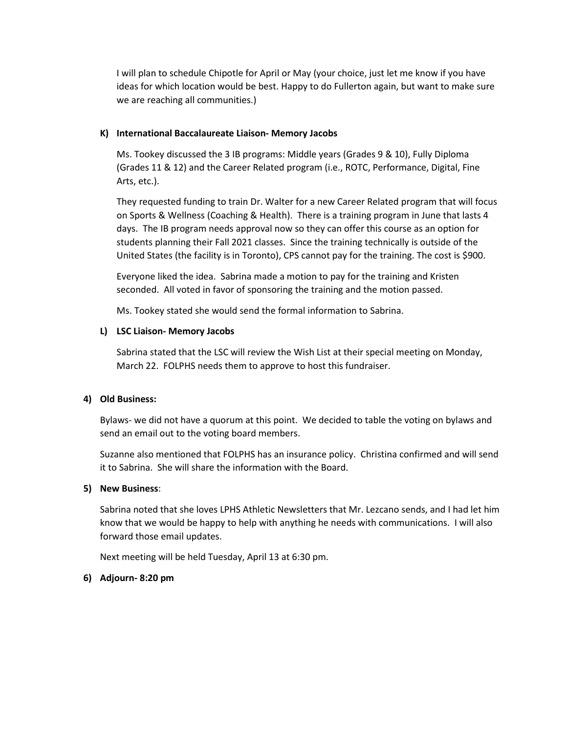I will plan to schedule Chipotle for April or May (your choice, just let me know if you have ideas for which location would be best. Happy to do Fullerton again, but want to make sure we are reaching all communities.)

## **K) International Baccalaureate Liaison- Memory Jacobs**

Ms. Tookey discussed the 3 IB programs: Middle years (Grades 9 & 10), Fully Diploma (Grades 11 & 12) and the Career Related program (i.e., ROTC, Performance, Digital, Fine Arts, etc.).

They requested funding to train Dr. Walter for a new Career Related program that will focus on Sports & Wellness (Coaching & Health). There is a training program in June that lasts 4 days. The IB program needs approval now so they can offer this course as an option for students planning their Fall 2021 classes. Since the training technically is outside of the United States (the facility is in Toronto), CPS cannot pay for the training. The cost is \$900.

Everyone liked the idea. Sabrina made a motion to pay for the training and Kristen seconded. All voted in favor of sponsoring the training and the motion passed.

Ms. Tookey stated she would send the formal information to Sabrina.

# **L) LSC Liaison- Memory Jacobs**

Sabrina stated that the LSC will review the Wish List at their special meeting on Monday, March 22. FOLPHS needs them to approve to host this fundraiser.

# **4) Old Business:**

Bylaws- we did not have a quorum at this point. We decided to table the voting on bylaws and send an email out to the voting board members.

Suzanne also mentioned that FOLPHS has an insurance policy. Christina confirmed and will send it to Sabrina. She will share the information with the Board.

#### **5) New Business**:

Sabrina noted that she loves LPHS Athletic Newsletters that Mr. Lezcano sends, and I had let him know that we would be happy to help with anything he needs with communications. I will also forward those email updates.

Next meeting will be held Tuesday, April 13 at 6:30 pm.

#### **6) Adjourn- 8:20 pm**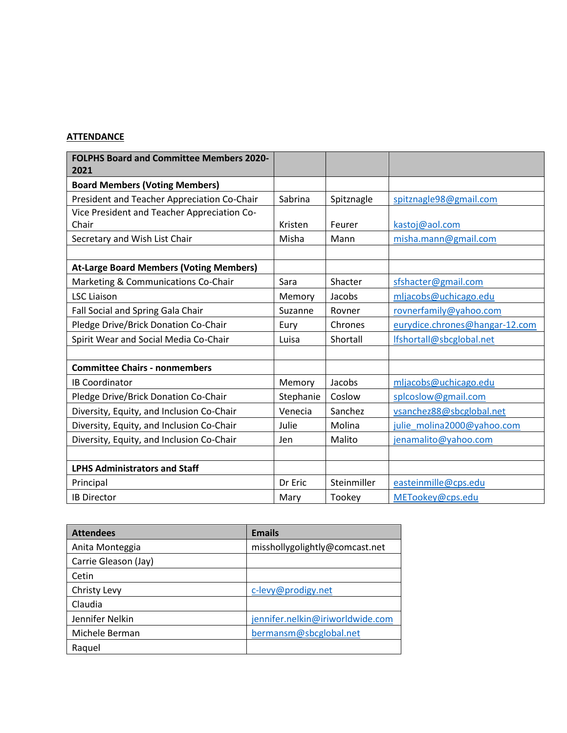# **ATTENDANCE**

| <b>FOLPHS Board and Committee Members 2020-</b><br>2021 |           |             |                                |
|---------------------------------------------------------|-----------|-------------|--------------------------------|
| <b>Board Members (Voting Members)</b>                   |           |             |                                |
| President and Teacher Appreciation Co-Chair             | Sabrina   | Spitznagle  | spitznagle98@gmail.com         |
| Vice President and Teacher Appreciation Co-<br>Chair    | Kristen   | Feurer      | kastoj@aol.com                 |
| Secretary and Wish List Chair                           | Misha     | Mann        | misha.mann@gmail.com           |
|                                                         |           |             |                                |
| <b>At-Large Board Members (Voting Members)</b>          |           |             |                                |
| Marketing & Communications Co-Chair                     | Sara      | Shacter     | sfshacter@gmail.com            |
| <b>LSC Liaison</b>                                      | Memory    | Jacobs      | mljacobs@uchicago.edu          |
| Fall Social and Spring Gala Chair                       | Suzanne   | Rovner      | rovnerfamily@yahoo.com         |
| Pledge Drive/Brick Donation Co-Chair                    | Eury      | Chrones     | eurydice.chrones@hangar-12.com |
| Spirit Wear and Social Media Co-Chair                   | Luisa     | Shortall    | lfshortall@sbcglobal.net       |
|                                                         |           |             |                                |
| <b>Committee Chairs - nonmembers</b>                    |           |             |                                |
| <b>IB Coordinator</b>                                   | Memory    | Jacobs      | mljacobs@uchicago.edu          |
| Pledge Drive/Brick Donation Co-Chair                    | Stephanie | Coslow      | splcoslow@gmail.com            |
| Diversity, Equity, and Inclusion Co-Chair               | Venecia   | Sanchez     | vsanchez88@sbcglobal.net       |
| Diversity, Equity, and Inclusion Co-Chair               | Julie     | Molina      | julie molina2000@yahoo.com     |
| Diversity, Equity, and Inclusion Co-Chair               | Jen       | Malito      | jenamalito@yahoo.com           |
|                                                         |           |             |                                |
| <b>LPHS Administrators and Staff</b>                    |           |             |                                |
| Principal                                               | Dr Eric   | Steinmiller | easteinmille@cps.edu           |
| <b>IB Director</b>                                      | Mary      | Tookey      | METookey@cps.edu               |

| <b>Attendees</b>     | <b>Emails</b>                    |  |
|----------------------|----------------------------------|--|
| Anita Monteggia      | misshollygolightly@comcast.net   |  |
| Carrie Gleason (Jay) |                                  |  |
| Cetin                |                                  |  |
| Christy Levy         | c-levy@prodigy.net               |  |
| Claudia              |                                  |  |
| Jennifer Nelkin      | jennifer.nelkin@iriworldwide.com |  |
| Michele Berman       | bermansm@sbcglobal.net           |  |
| Raquel               |                                  |  |